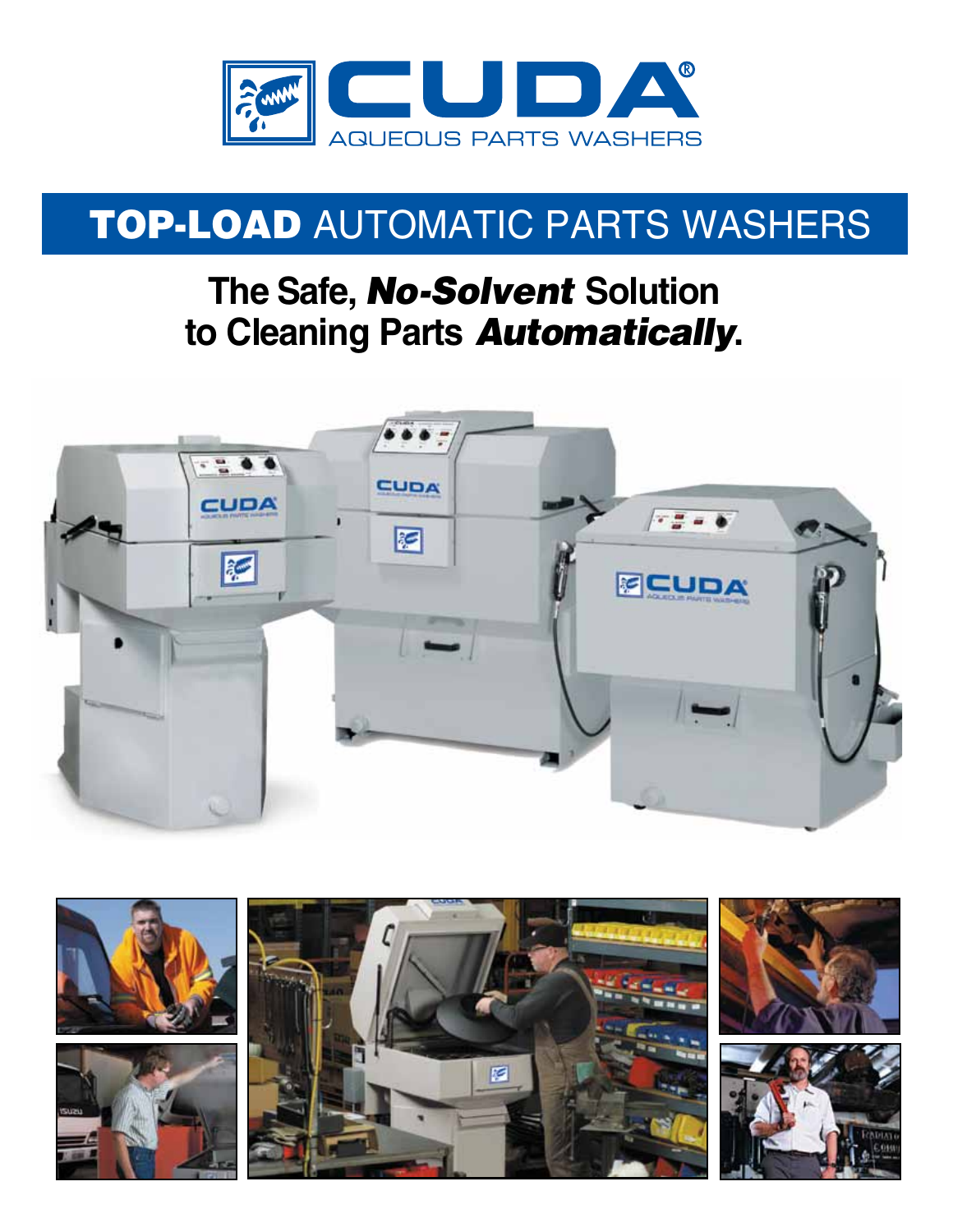

# TOP-Load Automatic Parts Washers

# **The Safe,** *No-Solvent* **Solution to Cleaning Parts** *Automatically***.**



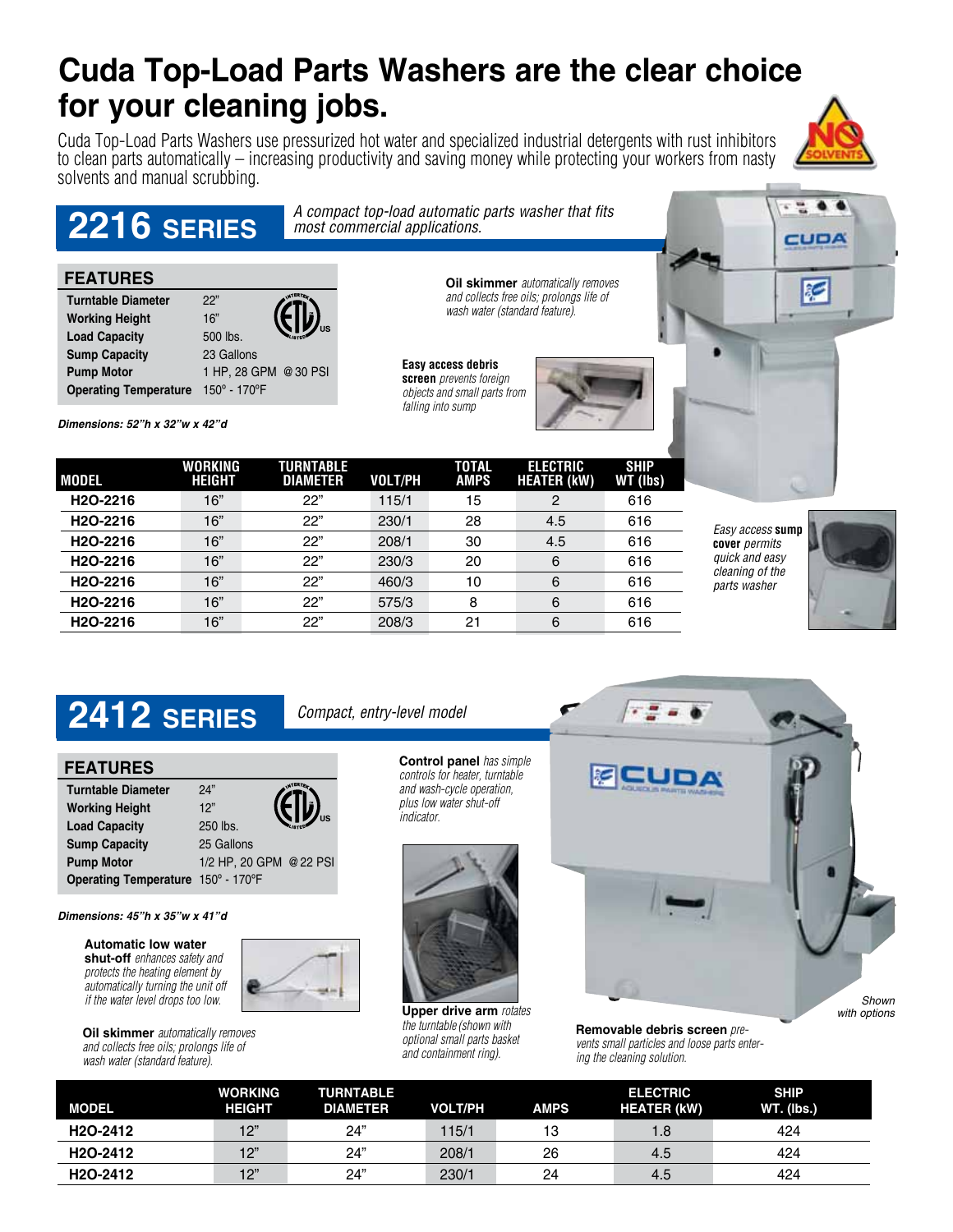# **Cuda Top-Load Parts Washers are the clear choice for your cleaning jobs.**

Cuda Top-Load Parts Washers use pressurized hot water and specialized industrial detergents with rust inhibitors to clean parts automatically – increasing productivity and saving money while protecting your workers from nasty solvents and manual scrubbing.



CUDA

æ

#### *A compact top-load automatic parts washer that fits most commercial applications.*  **Oil skimmer** *automatically removes and collects free oils; prolongs life of wash water (standard feature).*  **Easy access debris screen** *prevents foreign objects and small parts from falling into sump* **2216 SERIES Turntable Diameter** 22" **Working Height** 16" **Load Capacity** 500 lbs. **Sump Capacity** 23 Gallons **Pump Motor** 1 HP, 28 GPM @ 30 PSI **Operating Temperature** 150º - 170ºF **FEATURES**

*Dimensions: 52"h x 32"w x 42"d* 

| <b>MODEL</b>          | WORKING<br><b>HEIGHT</b> | TURNTABLE<br><b>DIAMETER</b> | VOLT/PH | TOTAL<br><b>AMPS</b> | <b>ELECTRIC</b><br><b>HEATER (kW)</b> | <b>SHIP</b><br>WT (lbs) |
|-----------------------|--------------------------|------------------------------|---------|----------------------|---------------------------------------|-------------------------|
| H <sub>2</sub> O-2216 | 16"                      | 22"                          | 115/1   | 15                   | 2                                     | 616                     |
| H <sub>2</sub> O-2216 | 16"                      | 22"                          | 230/1   | 28                   | 4.5                                   | 616                     |
| H <sub>2</sub> O-2216 | 16"                      | 22"                          | 208/1   | 30                   | 4.5                                   | 616                     |
| H <sub>2</sub> O-2216 | 16"                      | 22"                          | 230/3   | 20                   | 6                                     | 616                     |
| H <sub>2</sub> O-2216 | 16"                      | 22"                          | 460/3   | 10                   | 6                                     | 616                     |
| H <sub>2</sub> O-2216 | 16"                      | 22"                          | 575/3   | 8                    | 6                                     | 616                     |
| H <sub>2</sub> O-2216 | 16"                      | 22"                          | 208/3   | 21                   | 6                                     | 616                     |

*Easy access* **sump cover** *permits quick and easy cleaning of the parts washer*



# **2412 SERIES** *Compact, entry-level model*

| <b>FEATURES</b>                    |                         |
|------------------------------------|-------------------------|
| <b>Turntable Diameter</b>          | 24"                     |
| <b>Working Height</b>              | 12"                     |
| <b>Load Capacity</b>               | 250 lbs.                |
| <b>Sump Capacity</b>               | 25 Gallons              |
| <b>Pump Motor</b>                  | 1/2 HP, 20 GPM @ 22 PSI |
| Operating Temperature 150° - 170°F |                         |

*Dimensions: 45"h x 35"w x 41"d* 

**Automatic low water shut-off** *enhances safety and protects the heating element by automatically turning the unit off if the water level drops too low.*

**Oil skimmer** *automatically removes and collects free oils; prolongs life of wash water (standard feature).* 







**Upper drive arm** *rotates the turntable(shown with optional small parts basket and containment ring).*



**Removable debris screen** *prevents small particles and loose parts entering the cleaning solution.*

| <b>MODEL</b>          | <b>WORKING</b><br><b>HEIGHT</b> | <b>TURNTABLE</b><br><b>DIAMETER</b> | <b>VOLT/PH</b> | <b>AMPS</b> | <b>ELECTRIC</b><br><b>HEATER (kW)</b> | <b>SHIP</b><br><b>WT.</b> (lbs.) |
|-----------------------|---------------------------------|-------------------------------------|----------------|-------------|---------------------------------------|----------------------------------|
| H <sub>2</sub> O-2412 | 12"                             | 24"                                 | 115/1          | 13          | 8. ا                                  | 424                              |
| H <sub>2</sub> O-2412 | 12"                             | 24"                                 | 208/1          | 26          | 4.5                                   | 424                              |
| H <sub>2</sub> O-2412 | 12"                             | 24"                                 | 230/1          | 24          | 4.5                                   | 424                              |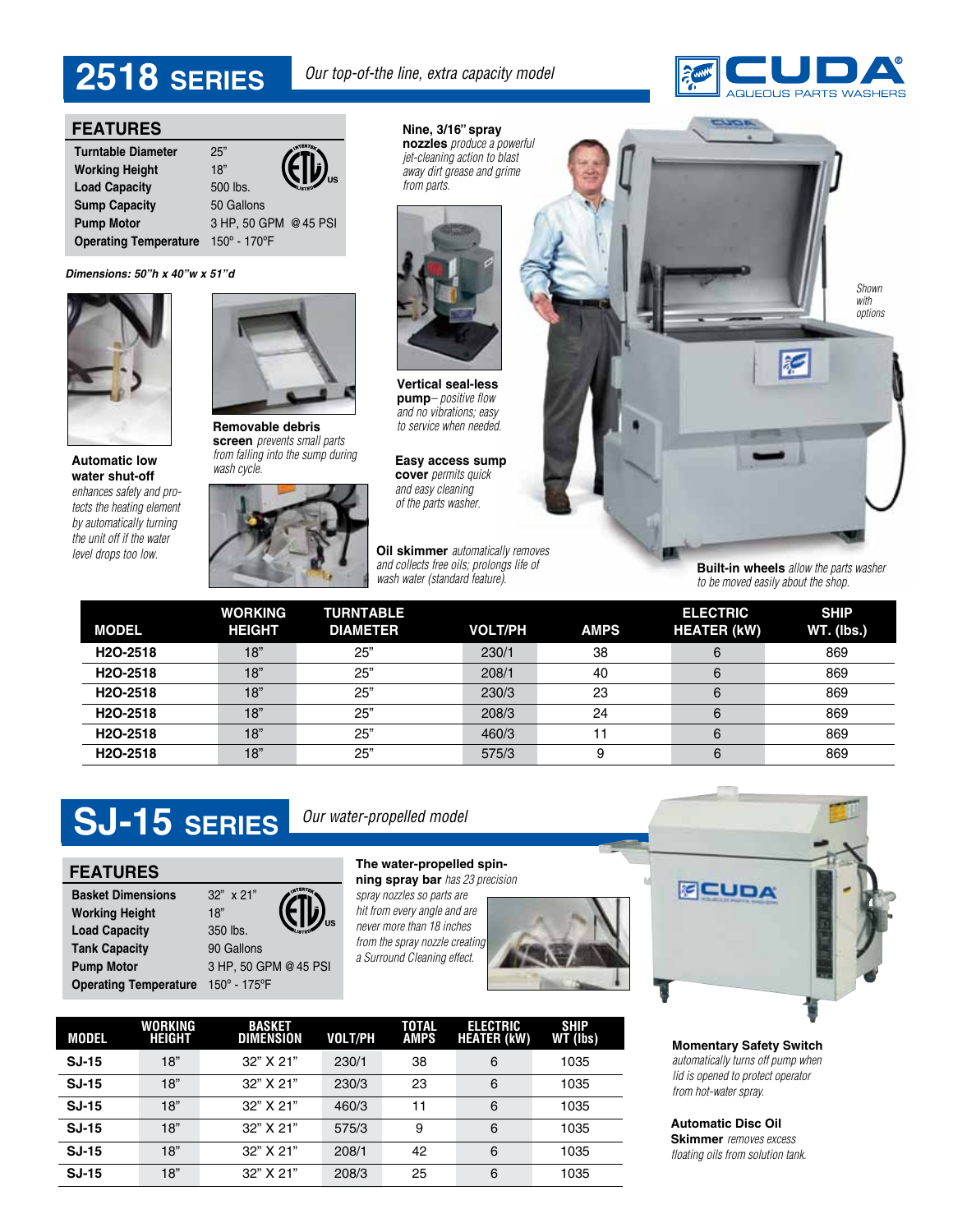# *Our top-of-the line, extra capacity model* **2518 SERIES**



### **FEATURES**

| <b>Turntable Diameter</b>    | 25"                   |         |
|------------------------------|-----------------------|---------|
| <b>Working Height</b>        | 18"                   | ,<br>"" |
| <b>Load Capacity</b>         | 500 lbs.              |         |
| <b>Sump Capacity</b>         | 50 Gallons            |         |
| <b>Pump Motor</b>            | 3 HP, 50 GPM @ 45 PSI |         |
| <b>Operating Temperature</b> | 150° - 170°F          |         |

### *Dimensions: 50"h x 40"w x 51"d*



**Automatic low water shut-off**  *enhances safety and protects the heating element by automatically turning the unit off if the water* 



**Removable debris screen** *prevents small parts from falling into the sump during wash cycle.*



**Nine, 3/16" spray nozzles** *produce a powerful jet-cleaning action to blast away dirt grease and grime from parts.*



**Vertical seal-less pump***– positive flow and no vibrations; easy to service when needed.*

**Easy access sump cover** *permits quick and easy cleaning of the parts washer.*

*and collects free oils; prolongs life of wash water (standard feature).*



**Built-in wheels** *allow the parts washer to be moved easily about the shop.*

| <b>MODEL</b>          | <b>WORKING</b><br><b>HEIGHT</b> | <b>TURNTABLE</b><br><b>DIAMETER</b> | <b>VOLT/PH</b> | <b>AMPS</b> | <b>ELECTRIC</b><br><b>HEATER (kW)</b> | <b>SHIP</b><br><b>WT.</b> (lbs.) |
|-----------------------|---------------------------------|-------------------------------------|----------------|-------------|---------------------------------------|----------------------------------|
| H <sub>2</sub> O-2518 | 18"                             | 25"                                 | 230/1          | 38          |                                       | 869                              |
| H <sub>2</sub> O-2518 | 18"                             | 25"                                 | 208/1          | 40          | 6                                     | 869                              |
| H <sub>2</sub> O-2518 | 18"                             | 25"                                 | 230/3          | 23          |                                       | 869                              |
| H <sub>2</sub> O-2518 | 18"                             | 25"                                 | 208/3          | 24          | 6                                     | 869                              |
| H <sub>2</sub> O-2518 | 18"                             | 25"                                 | 460/3          |             |                                       | 869                              |
| H <sub>2</sub> O-2518 | 18"                             | 25"                                 | 575/3          | 9           |                                       | 869                              |

# SJ-15 SERIES **Dur water-propelled model**

**Pump Motor** 3 HP, 50 GPM @ 45 PSI

**Basket Dimensions** 32" x 21" **Working Height** 18" Load Capacity 350 lbs. **Tank Capacity** 90 Gallons

**Operating Temperature** 150º - 175ºF

**FEATURES The water-propelled spin-**<br> **The water-propelled spin-**<br> **The water-propelled spin-**

**ning spray bar** *has 23 precision spray nozzles so parts are hit from every angle and are never more than 18 inches* 

*from the spray nozzle creating a Surround Cleaning effect.*







**Momentary Safety Switch** *automatically turns off pump when lid is opened to protect operator from hot-water spray.*

**Automatic Disc Oil Skimmer** *removes excess floating oils from solution tank.*